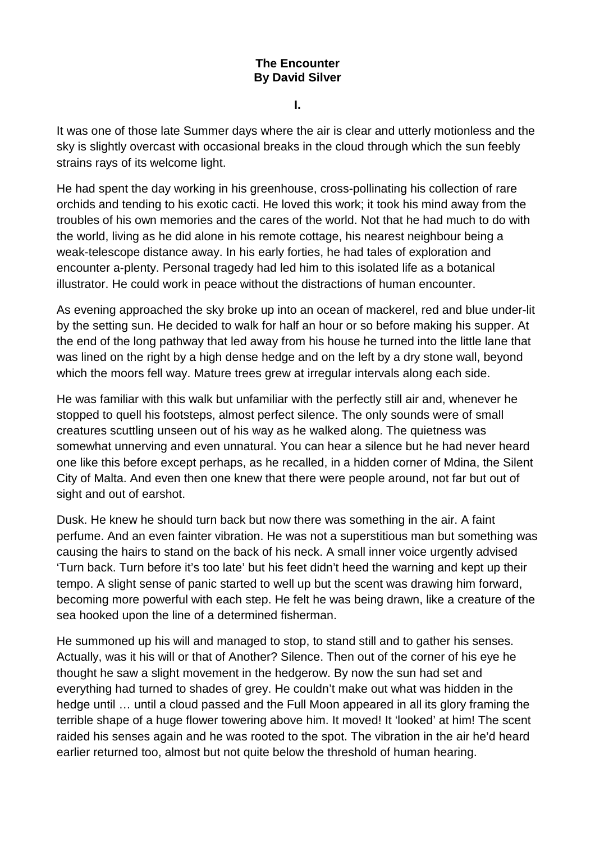## **The Encounter By David Silver**

**I.** 

It was one of those late Summer days where the air is clear and utterly motionless and the sky is slightly overcast with occasional breaks in the cloud through which the sun feebly strains rays of its welcome light.

He had spent the day working in his greenhouse, cross-pollinating his collection of rare orchids and tending to his exotic cacti. He loved this work; it took his mind away from the troubles of his own memories and the cares of the world. Not that he had much to do with the world, living as he did alone in his remote cottage, his nearest neighbour being a weak-telescope distance away. In his early forties, he had tales of exploration and encounter a-plenty. Personal tragedy had led him to this isolated life as a botanical illustrator. He could work in peace without the distractions of human encounter.

As evening approached the sky broke up into an ocean of mackerel, red and blue under-lit by the setting sun. He decided to walk for half an hour or so before making his supper. At the end of the long pathway that led away from his house he turned into the little lane that was lined on the right by a high dense hedge and on the left by a dry stone wall, beyond which the moors fell way. Mature trees grew at irregular intervals along each side.

He was familiar with this walk but unfamiliar with the perfectly still air and, whenever he stopped to quell his footsteps, almost perfect silence. The only sounds were of small creatures scuttling unseen out of his way as he walked along. The quietness was somewhat unnerving and even unnatural. You can hear a silence but he had never heard one like this before except perhaps, as he recalled, in a hidden corner of Mdina, the Silent City of Malta. And even then one knew that there were people around, not far but out of sight and out of earshot.

Dusk. He knew he should turn back but now there was something in the air. A faint perfume. And an even fainter vibration. He was not a superstitious man but something was causing the hairs to stand on the back of his neck. A small inner voice urgently advised 'Turn back. Turn before it's too late' but his feet didn't heed the warning and kept up their tempo. A slight sense of panic started to well up but the scent was drawing him forward, becoming more powerful with each step. He felt he was being drawn, like a creature of the sea hooked upon the line of a determined fisherman.

He summoned up his will and managed to stop, to stand still and to gather his senses. Actually, was it his will or that of Another? Silence. Then out of the corner of his eye he thought he saw a slight movement in the hedgerow. By now the sun had set and everything had turned to shades of grey. He couldn't make out what was hidden in the hedge until … until a cloud passed and the Full Moon appeared in all its glory framing the terrible shape of a huge flower towering above him. It moved! It 'looked' at him! The scent raided his senses again and he was rooted to the spot. The vibration in the air he'd heard earlier returned too, almost but not quite below the threshold of human hearing.